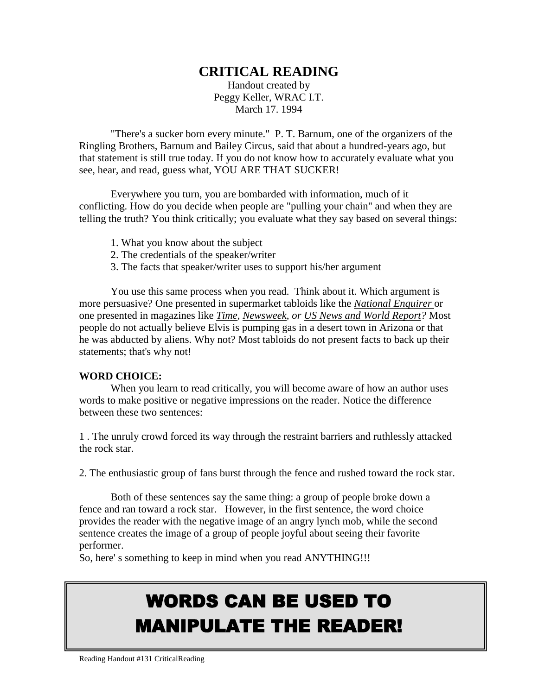## **CRITICAL READING**

Handout created by Peggy Keller, WRAC I.T. March 17. 1994

"There's a sucker born every minute." P. T. Barnum, one of the organizers of the Ringling Brothers, Barnum and Bailey Circus, said that about a hundred-years ago, but that statement is still true today. If you do not know how to accurately evaluate what you see, hear, and read, guess what, YOU ARE THAT SUCKER!

Everywhere you turn, you are bombarded with information, much of it conflicting. How do you decide when people are "pulling your chain" and when they are telling the truth? You think critically; you evaluate what they say based on several things:

- 1. What you know about the subject
- 2. The credentials of the speaker/writer
- 3. The facts that speaker/writer uses to support his/her argument

You use this same process when you read. Think about it. Which argument is more persuasive? One presented in supermarket tabloids like the *National Enquirer* or one presented in magazines like *Time, Newsweek, or US News and World Report?* Most people do not actually believe Elvis is pumping gas in a desert town in Arizona or that he was abducted by aliens. Why not? Most tabloids do not present facts to back up their statements; that's why not!

#### **WORD CHOICE:**

When you learn to read critically, you will become aware of how an author uses words to make positive or negative impressions on the reader. Notice the difference between these two sentences:

1 . The unruly crowd forced its way through the restraint barriers and ruthlessly attacked the rock star.

2. The enthusiastic group of fans burst through the fence and rushed toward the rock star.

Both of these sentences say the same thing: a group of people broke down a fence and ran toward a rock star. However, in the first sentence, the word choice provides the reader with the negative image of an angry lynch mob, while the second sentence creates the image of a group of people joyful about seeing their favorite performer.

So, here' s something to keep in mind when you read ANYTHING!!!

# WORDS CAN BE USED TO MANIPULATE THE READER!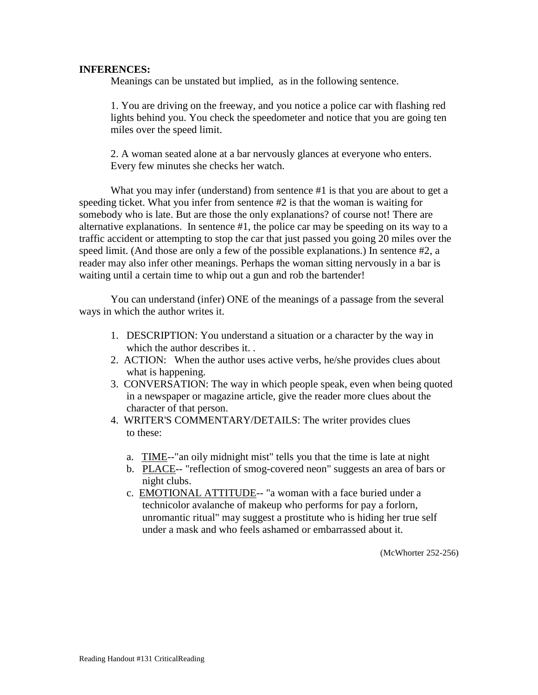#### **INFERENCES:**

Meanings can be unstated but implied, as in the following sentence.

1. You are driving on the freeway, and you notice a police car with flashing red lights behind you. You check the speedometer and notice that you are going ten miles over the speed limit.

2. A woman seated alone at a bar nervously glances at everyone who enters. Every few minutes she checks her watch.

What you may infer (understand) from sentence #1 is that you are about to get a speeding ticket. What you infer from sentence #2 is that the woman is waiting for somebody who is late. But are those the only explanations? of course not! There are alternative explanations. In sentence #1, the police car may be speeding on its way to a traffic accident or attempting to stop the car that just passed you going 20 miles over the speed limit. (And those are only a few of the possible explanations.) In sentence #2, a reader may also infer other meanings. Perhaps the woman sitting nervously in a bar is waiting until a certain time to whip out a gun and rob the bartender!

You can understand (infer) ONE of the meanings of a passage from the several ways in which the author writes it.

- 1. DESCRIPTION: You understand a situation or a character by the way in which the author describes it. .
- 2. ACTION: When the author uses active verbs, he/she provides clues about what is happening.
- 3. CONVERSATION: The way in which people speak, even when being quoted in a newspaper or magazine article, give the reader more clues about the character of that person.
- 4. WRITER'S COMMENTARY/DETAILS: The writer provides clues to these:
	- a. TIME--"an oily midnight mist" tells you that the time is late at night
	- b. PLACE-- "reflection of smog-covered neon" suggests an area of bars or night clubs.
	- c. EMOTIONAL ATTITUDE-- "a woman with a face buried under a technicolor avalanche of makeup who performs for pay a forlorn, unromantic ritual" may suggest a prostitute who is hiding her true self under a mask and who feels ashamed or embarrassed about it.

(McWhorter 252-256)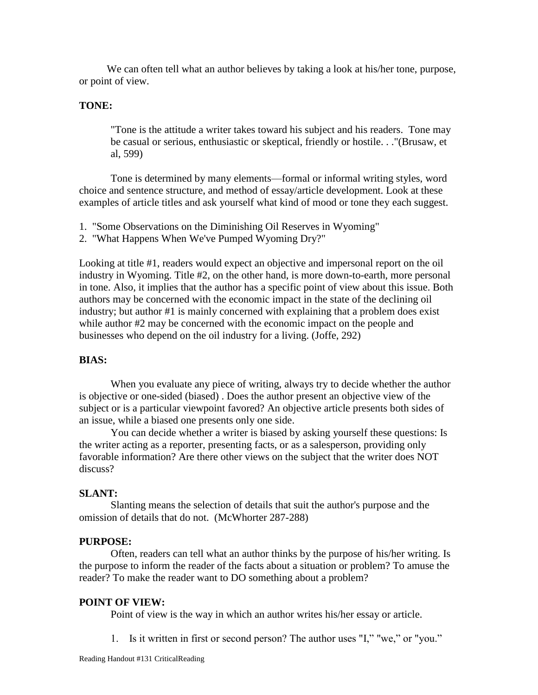We can often tell what an author believes by taking a look at his/her tone, purpose, or point of view.

#### **TONE:**

"Tone is the attitude a writer takes toward his subject and his readers. Tone may be casual or serious, enthusiastic or skeptical, friendly or hostile. . ."(Brusaw, et al, 599)

Tone is determined by many elements—formal or informal writing styles, word choice and sentence structure, and method of essay/article development. Look at these examples of article titles and ask yourself what kind of mood or tone they each suggest.

- 1. "Some Observations on the Diminishing Oil Reserves in Wyoming"
- 2. "What Happens When We've Pumped Wyoming Dry?"

Looking at title #1, readers would expect an objective and impersonal report on the oil industry in Wyoming. Title #2, on the other hand, is more down-to-earth, more personal in tone. Also, it implies that the author has a specific point of view about this issue. Both authors may be concerned with the economic impact in the state of the declining oil industry; but author #1 is mainly concerned with explaining that a problem does exist while author #2 may be concerned with the economic impact on the people and businesses who depend on the oil industry for a living. (Joffe, 292)

#### **BIAS:**

When you evaluate any piece of writing, always try to decide whether the author is objective or one-sided (biased) . Does the author present an objective view of the subject or is a particular viewpoint favored? An objective article presents both sides of an issue, while a biased one presents only one side.

You can decide whether a writer is biased by asking yourself these questions: Is the writer acting as a reporter, presenting facts, or as a salesperson, providing only favorable information? Are there other views on the subject that the writer does NOT discuss?

#### **SLANT:**

Slanting means the selection of details that suit the author's purpose and the omission of details that do not. (McWhorter 287-288)

#### **PURPOSE:**

Often, readers can tell what an author thinks by the purpose of his/her writing. Is the purpose to inform the reader of the facts about a situation or problem? To amuse the reader? To make the reader want to DO something about a problem?

#### **POINT OF VIEW:**

Point of view is the way in which an author writes his/her essay or article.

1. Is it written in first or second person? The author uses "I," "we," or "you."